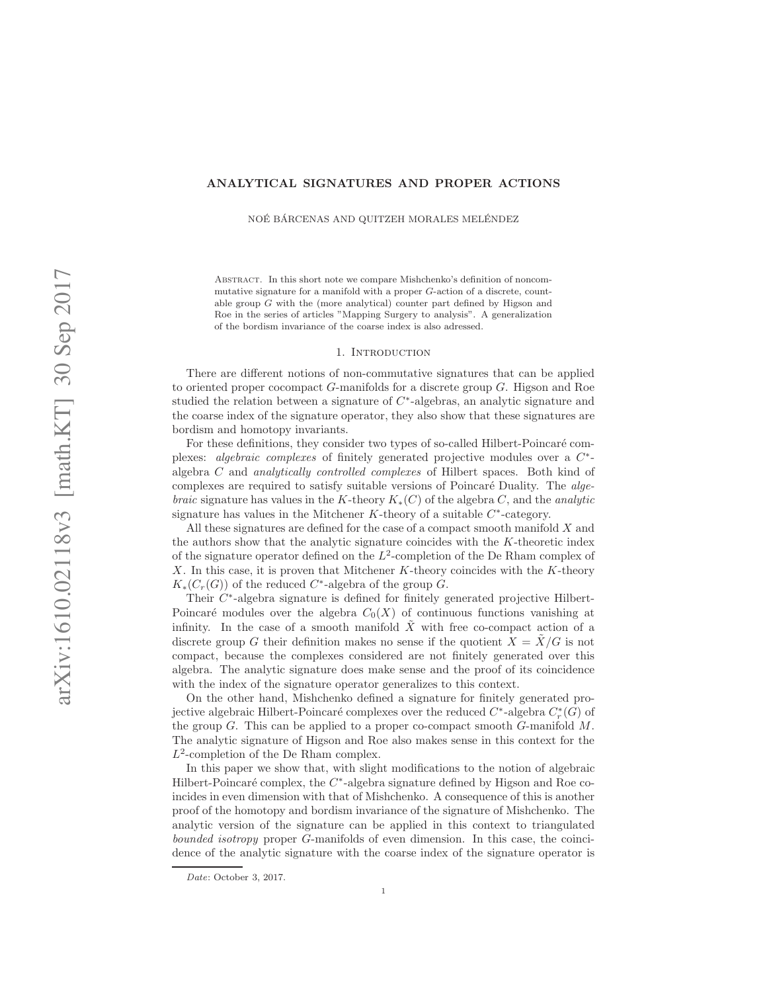# ANALYTICAL SIGNATURES AND PROPER ACTIONS

NOÉ BÁRCENAS AND QUITZEH MORALES MELÉNDEZ

Abstract. In this short note we compare Mishchenko's definition of noncommutative signature for a manifold with a proper G-action of a discrete, countable group G with the (more analytical) counter part defined by Higson and Roe in the series of articles "Mapping Surgery to analysis". A generalization of the bordism invariance of the coarse index is also adressed.

#### 1. INTRODUCTION

There are different notions of non-commutative signatures that can be applied to oriented proper cocompact G-manifolds for a discrete group G. Higson and Roe studied the relation between a signature of C<sup>∗</sup>-algebras, an analytic signature and the coarse index of the signature operator, they also show that these signatures are bordism and homotopy invariants.

For these definitions, they consider two types of so-called Hilbert-Poincaré complexes: algebraic complexes of finitely generated projective modules over a C<sup>∗</sup> algebra C and analytically controlled complexes of Hilbert spaces. Both kind of complexes are required to satisfy suitable versions of Poincaré Duality. The *algebraic* signature has values in the K-theory  $K_*(C)$  of the algebra C, and the *analytic* signature has values in the Mitchener K-theory of a suitable  $C^*$ -category.

All these signatures are defined for the case of a compact smooth manifold X and the authors show that the analytic signature coincides with the K-theoretic index of the signature operator defined on the  $L^2$ -completion of the De Rham complex of X. In this case, it is proven that Mitchener K-theory coincides with the K-theory  $K_*(C_r(G))$  of the reduced C<sup>\*</sup>-algebra of the group G.

Their C<sup>∗</sup>-algebra signature is defined for finitely generated projective Hilbert-Poincaré modules over the algebra  $C_0(X)$  of continuous functions vanishing at infinity. In the case of a smooth manifold  $\tilde{X}$  with free co-compact action of a discrete group G their definition makes no sense if the quotient  $X = \tilde{X}/G$  is not compact, because the complexes considered are not finitely generated over this algebra. The analytic signature does make sense and the proof of its coincidence with the index of the signature operator generalizes to this context.

On the other hand, Mishchenko defined a signature for finitely generated projective algebraic Hilbert-Poincaré complexes over the reduced  $C^*$ -algebra  $C^*_r(G)$  of the group  $G$ . This can be applied to a proper co-compact smooth  $G$ -manifold  $M$ . The analytic signature of Higson and Roe also makes sense in this context for the  $L^2$ -completion of the De Rham complex.

In this paper we show that, with slight modifications to the notion of algebraic Hilbert-Poincaré complex, the  $C^*$ -algebra signature defined by Higson and Roe coincides in even dimension with that of Mishchenko. A consequence of this is another proof of the homotopy and bordism invariance of the signature of Mishchenko. The analytic version of the signature can be applied in this context to triangulated bounded isotropy proper G-manifolds of even dimension. In this case, the coincidence of the analytic signature with the coarse index of the signature operator is

Date: October 3, 2017.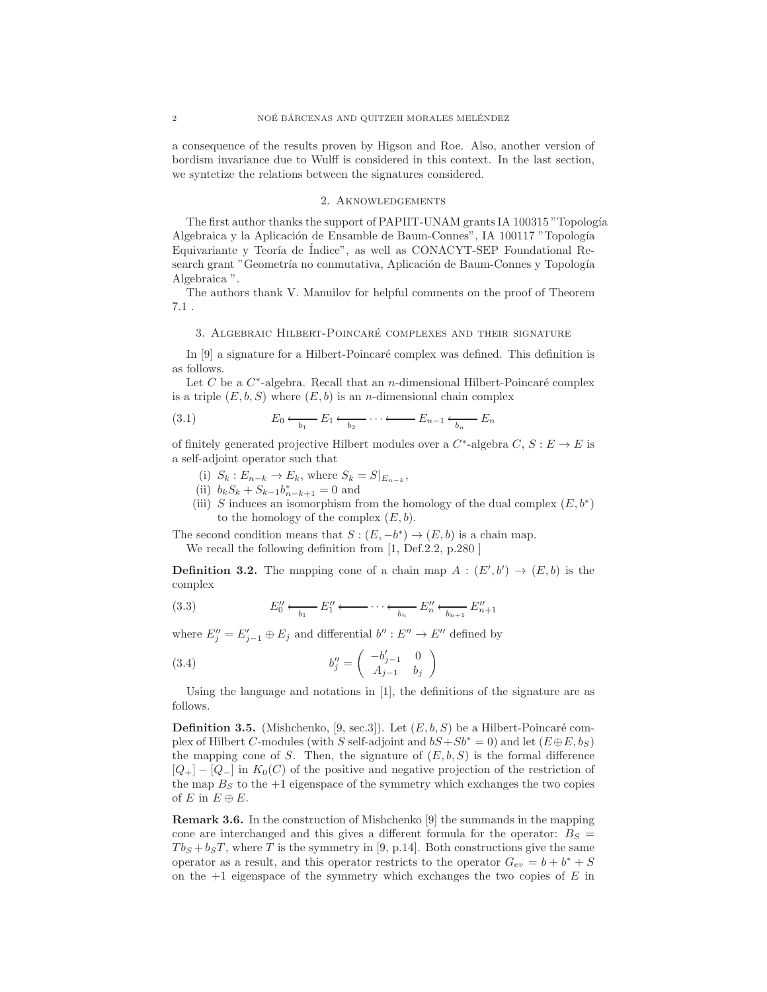a consequence of the results proven by Higson and Roe. Also, another version of bordism invariance due to Wulff is considered in this context. In the last section, we syntetize the relations between the signatures considered.

#### 2. Aknowledgements

The first author thanks the support of PAPIIT-UNAM grants IA 100315 "Topología Algebraica y la Aplicación de Ensamble de Baum-Connes", IA 100117 "Topología Equivariante y Teoría de Índice", as well as CONACYT-SEP Foundational Research grant "Geometría no conmutativa, Aplicación de Baum-Connes y Topología Algebraica ".

The authors thank V. Manuilov for helpful comments on the proof of Theorem 7.1 .

# 3. ALGEBRAIC HILBERT-POINCARÉ COMPLEXES AND THEIR SIGNATURE

In  $[9]$  a signature for a Hilbert-Poincaré complex was defined. This definition is as follows.

Let C be a  $C^*$ -algebra. Recall that an n-dimensional Hilbert-Poincaré complex is a triple  $(E, b, S)$  where  $(E, b)$  is an *n*-dimensional chain complex

(3.1) 
$$
E_0 \xleftarrow[b_1]{} E_1 \xleftarrow[b_2]{} \cdots \xleftarrow[b_n]{} E_{n-1} \xleftarrow[b_n]{} E_n
$$

of finitely generated projective Hilbert modules over a  $C^*$ -algebra  $C, S : E \to E$  is a self-adjoint operator such that

- (i)  $S_k : E_{n-k} \to E_k$ , where  $S_k = S|_{E_{n-k}}$ ,
- (ii)  $b_k S_k + S_{k-1} b_{n-k+1}^* = 0$  and
- (iii) S induces an isomorphism from the homology of the dual complex  $(E, b^*)$ to the homology of the complex  $(E, b)$ .

The second condition means that  $S : (E, -b^*) \to (E, b)$  is a chain map. We recall the following definition from [1, Def. 2.2, p. 280]

**Definition 3.2.** The mapping cone of a chain map  $A : (E', b') \rightarrow (E, b)$  is the complex

$$
(3.3) \t E_0'' \xleftarrow[b_1]{} E_1'' \xleftarrow[\cdot \cdot \cdot \cdot \cdot \xleftarrow[b_n]{} E_n'' \xleftarrow[b_{n+1}]{} E_{n+1}''
$$

where  $E''_j = E'_{j-1} \oplus E_j$  and differential  $b'' : E'' \to E''$  defined by

(3.4) 
$$
b''_j = \begin{pmatrix} -b'_{j-1} & 0\\ A_{j-1} & b_j \end{pmatrix}
$$

Using the language and notations in [1], the definitions of the signature are as follows.

**Definition 3.5.** (Mishchenko, [9, sec.3]). Let  $(E, b, S)$  be a Hilbert-Poincaré complex of Hilbert C-modules (with S self-adjoint and  $bS+Sb^* = 0$ ) and let  $(E \oplus E, b_S)$ the mapping cone of S. Then, the signature of  $(E, b, S)$  is the formal difference  $[Q_+] - [Q_-]$  in  $K_0(C)$  of the positive and negative projection of the restriction of the map  $B<sub>S</sub>$  to the  $+1$  eigenspace of the symmetry which exchanges the two copies of E in  $E \oplus E$ .

Remark 3.6. In the construction of Mishchenko [9] the summands in the mapping cone are interchanged and this gives a different formula for the operator:  $B<sub>S</sub>$  =  $Tb_S + b_S T$ , where T is the symmetry in [9, p.14]. Both constructions give the same operator as a result, and this operator restricts to the operator  $G_{ev} = b + b^* + S$ on the  $+1$  eigenspace of the symmetry which exchanges the two copies of E in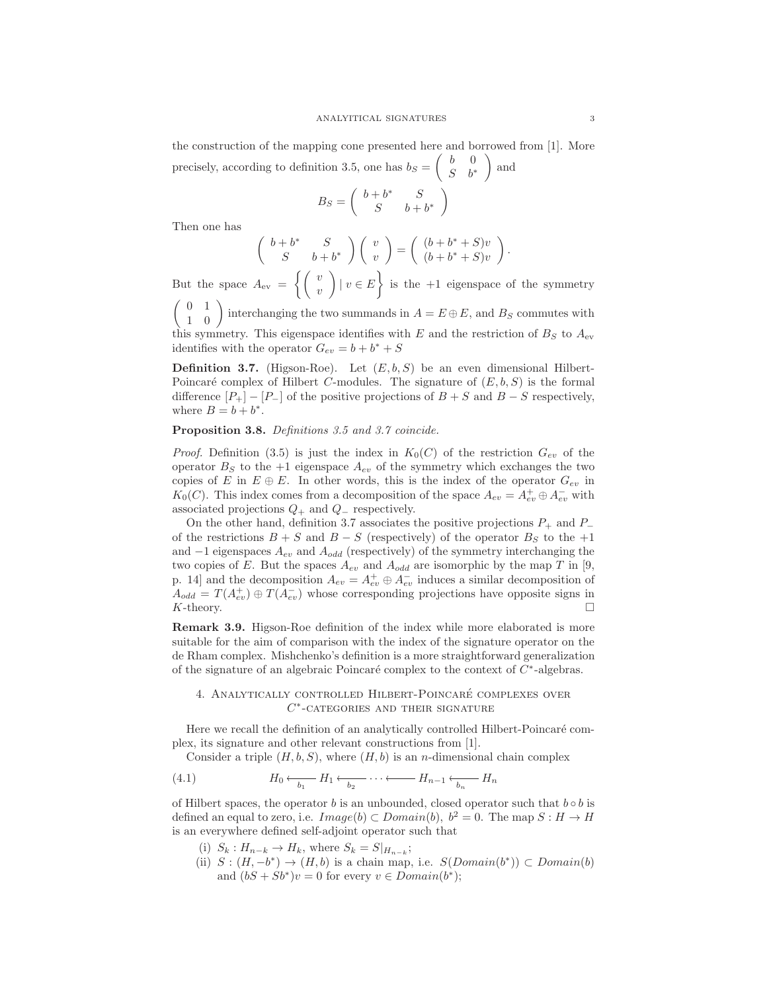the construction of the mapping cone presented here and borrowed from [1]. More precisely, according to definition 3.5, one has  $b_S = \begin{pmatrix} b & 0 \\ c & b \end{pmatrix}$  $S \quad b^*$  $\Big)$  and

$$
B_S=\left(\begin{array}{cc} b+b^* & S \\ S & b+b^* \end{array}\right)
$$

Then one has

$$
\left(\begin{array}{cc}b+b^* & S \\ S & b+b^*\end{array}\right)\left(\begin{array}{c}v \\ v\end{array}\right)=\left(\begin{array}{c}(b+b^*+S)v \\ (b+b^*+S)v\end{array}\right).
$$

But the space  $A_{\rm ev} = \begin{cases} v_{\rm w} \\ w_{\rm w} \end{cases}$  $\overline{v}$  $\vert v \in E \rangle$  is the +1 eigenspace of the symmetry

 $\begin{pmatrix} 0 & 1 \\ 1 & 0 \end{pmatrix}$  interchanging the two summands in  $A = E \oplus E$ , and  $B_S$  commutes with this symmetry. This eigenspace identifies with E and the restriction of  $B<sub>S</sub>$  to  $A<sub>ev</sub>$ identifies with the operator  $G_{ev} = b + b^* + S$ 

**Definition 3.7.** (Higson-Roe). Let  $(E, b, S)$  be an even dimensional Hilbert-Poincaré complex of Hilbert C-modules. The signature of  $(E, b, S)$  is the formal difference  $[P_+] - [P_-]$  of the positive projections of  $B + S$  and  $B - S$  respectively, where  $B = b + b^*$ .

### Proposition 3.8. Definitions 3.5 and 3.7 coincide.

*Proof.* Definition (3.5) is just the index in  $K_0(C)$  of the restriction  $G_{ev}$  of the operator  $B<sub>S</sub>$  to the +1 eigenspace  $A<sub>ev</sub>$  of the symmetry which exchanges the two copies of E in  $E \oplus E$ . In other words, this is the index of the operator  $G_{ev}$  in  $K_0(C)$ . This index comes from a decomposition of the space  $A_{ev} = A_{ev}^+ \oplus A_{ev}^-$  with associated projections  $Q_+$  and  $Q_-$  respectively.

On the other hand, definition 3.7 associates the positive projections  $P_+$  and  $P_$ of the restrictions  $B + S$  and  $B - S$  (respectively) of the operator  $B<sub>S</sub>$  to the +1 and  $-1$  eigenspaces  $A_{ev}$  and  $A_{odd}$  (respectively) of the symmetry interchanging the two copies of E. But the spaces  $A_{ev}$  and  $A_{odd}$  are isomorphic by the map T in [9, p. 14] and the decomposition  $A_{ev} = A_{ev}^+ \oplus A_{ev}^-$  induces a similar decomposition of  $A_{odd} = T(A_{ev}^+) \oplus T(A_{ev}^-)$  whose corresponding projections have opposite signs in  $K$ -theory.

Remark 3.9. Higson-Roe definition of the index while more elaborated is more suitable for the aim of comparison with the index of the signature operator on the de Rham complex. Mishchenko's definition is a more straightforward generalization of the signature of an algebraic Poincaré complex to the context of  $C^*$ -algebras.

# 4. ANALYTICALLY CONTROLLED HILBERT-POINCARÉ COMPLEXES OVER  $C^*$ -categories and their signature

Here we recall the definition of an analytically controlled Hilbert-Poincaré complex, its signature and other relevant constructions from [1].

Consider a triple  $(H, b, S)$ , where  $(H, b)$  is an *n*-dimensional chain complex

(4.1) 
$$
H_0 \xleftarrow[b_1]{} H_1 \xleftarrow[b_2]{} \cdots \xleftarrow[h_{n-1} \xleftarrow[b_n]{} H_n
$$

of Hilbert spaces, the operator b is an unbounded, closed operator such that  $b \circ b$  is defined an equal to zero, i.e.  $Image(b) \subset Domain(b), b^2 = 0$ . The map  $S : H \to H$ is an everywhere defined self-adjoint operator such that

- (i)  $S_k: H_{n-k} \to H_k$ , where  $S_k = S|_{H_{n-k}}$ ;
- (ii)  $S : (H, -b^*) \to (H, b)$  is a chain map, i.e.  $S(Domain(b^*)) \subset Domain(b)$ and  $(bS + Sb^*)v = 0$  for every  $v \in Domain(b^*)$ ;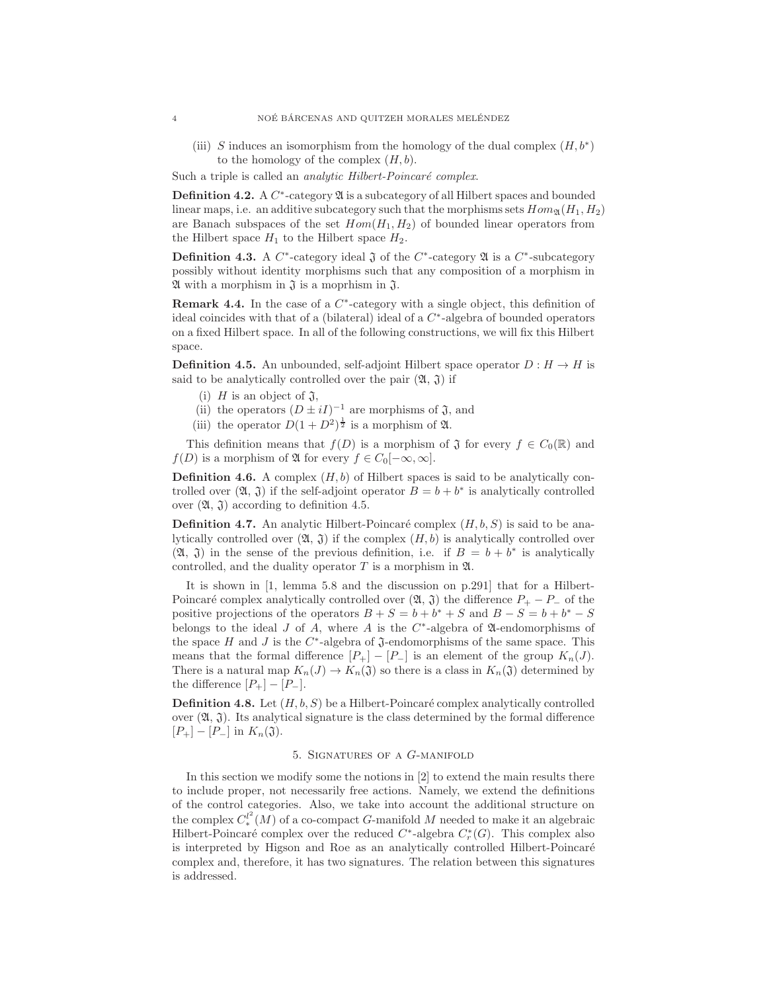(iii) S induces an isomorphism from the homology of the dual complex  $(H, b^*)$ to the homology of the complex  $(H, b)$ .

Such a triple is called an *analytic Hilbert-Poincaré complex*.

**Definition 4.2.** A  $C^*$ -category  $\mathfrak A$  is a subcategory of all Hilbert spaces and bounded linear maps, i.e. an additive subcategory such that the morphisms sets  $Hom_{\mathfrak{A}}(H_1, H_2)$ are Banach subspaces of the set  $Hom(H_1, H_2)$  of bounded linear operators from the Hilbert space  $H_1$  to the Hilbert space  $H_2$ .

**Definition 4.3.** A  $C^*$ -category ideal  $\tilde{j}$  of the  $C^*$ -category  $\mathfrak{A}$  is a  $C^*$ -subcategory possibly without identity morphisms such that any composition of a morphism in  $\mathfrak A$  with a morphism in  $\mathfrak J$  is a moprhism in  $\mathfrak J$ .

**Remark 4.4.** In the case of a  $C^*$ -category with a single object, this definition of ideal coincides with that of a (bilateral) ideal of a  $C<sup>*</sup>$ -algebra of bounded operators on a fixed Hilbert space. In all of the following constructions, we will fix this Hilbert space.

**Definition 4.5.** An unbounded, self-adjoint Hilbert space operator  $D : H \to H$  is said to be analytically controlled over the pair  $(\mathfrak{A}, \mathfrak{J})$  if

- (i) H is an object of  $\mathfrak{J}$ ,
- (ii) the operators  $(D \pm iI)^{-1}$  are morphisms of  $\mathfrak{J}$ , and
- (iii) the operator  $D(1+D^2)^{\frac{1}{2}}$  is a morphism of  $\mathfrak{A}$ .

This definition means that  $f(D)$  is a morphism of  $\mathfrak J$  for every  $f \in C_0(\mathbb{R})$  and  $f(D)$  is a morphism of  $\mathfrak A$  for every  $f \in C_0[-\infty,\infty]$ .

**Definition 4.6.** A complex  $(H, b)$  of Hilbert spaces is said to be analytically controlled over  $(\mathfrak{A}, \mathfrak{J})$  if the self-adjoint operator  $B = b + b^*$  is analytically controlled over  $(\mathfrak{A}, \mathfrak{J})$  according to definition 4.5.

**Definition 4.7.** An analytic Hilbert-Poincaré complex  $(H, b, S)$  is said to be analytically controlled over  $(\mathfrak{A}, \mathfrak{J})$  if the complex  $(H, b)$  is analytically controlled over  $(\mathfrak{A}, \mathfrak{J})$  in the sense of the previous definition, i.e. if  $B = b + b^*$  is analytically controlled, and the duality operator  $T$  is a morphism in  $\mathfrak{A}$ .

It is shown in [1, lemma 5.8 and the discussion on p.291] that for a Hilbert-Poincaré complex analytically controlled over  $(\mathfrak{A}, \mathfrak{J})$  the difference  $P_+ - P_-$  of the positive projections of the operators  $B + S = b + b^* + S$  and  $B - S = b + b^* - S$ belongs to the ideal J of A, where A is the  $C^*$ -algebra of  $\mathfrak A$ -endomorphisms of the space  $H$  and  $J$  is the  $C^*$ -algebra of  $\mathfrak J$ -endomorphisms of the same space. This means that the formal difference  $[P_+] - [P_-]$  is an element of the group  $K_n(J)$ . There is a natural map  $K_n(J) \to K_n(\mathfrak{J})$  so there is a class in  $K_n(\mathfrak{J})$  determined by the difference  $[P_{+}]-[P_{-}].$ 

**Definition 4.8.** Let  $(H, b, S)$  be a Hilbert-Poincaré complex analytically controlled over  $(2l, 3)$ . Its analytical signature is the class determined by the formal difference  $[P_{+}] - [P_{-}]$  in  $K_n(\mathfrak{J}).$ 

# 5. Signatures of a G-manifold

In this section we modify some the notions in [2] to extend the main results there to include proper, not necessarily free actions. Namely, we extend the definitions of the control categories. Also, we take into account the additional structure on the complex  $C_*^{l^2}(M)$  of a co-compact G-manifold M needed to make it an algebraic Hilbert-Poincaré complex over the reduced  $C^*$ -algebra  $C^*_r(G)$ . This complex also is interpreted by Higson and Roe as an analytically controlled Hilbert-Poincaré complex and, therefore, it has two signatures. The relation between this signatures is addressed.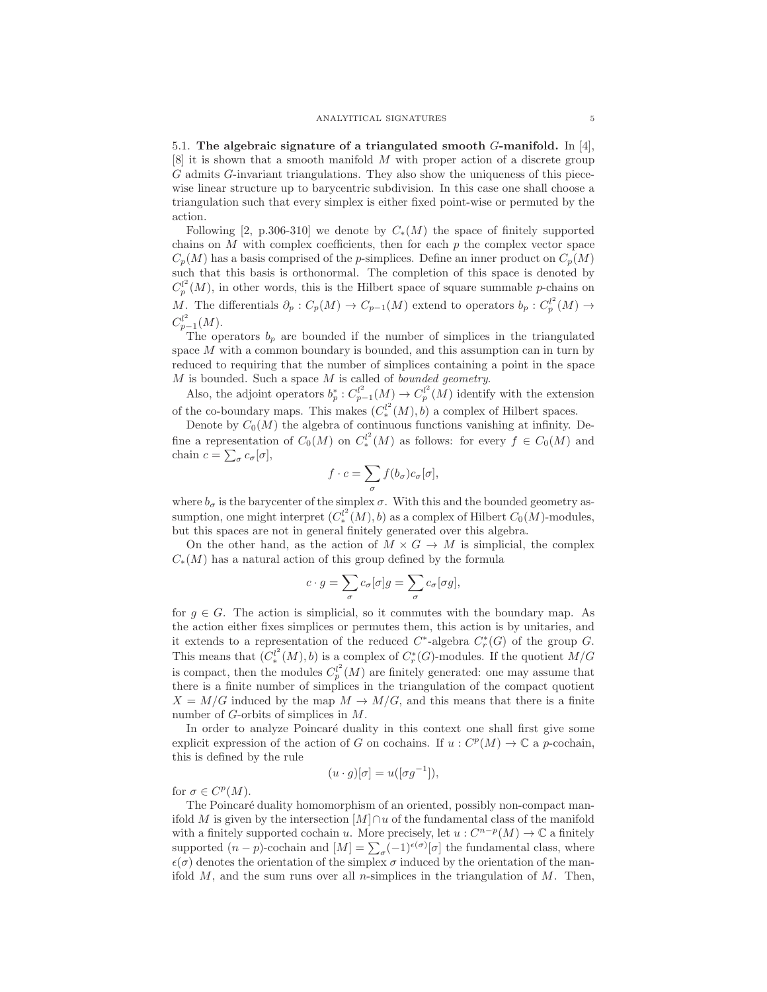5.1. The algebraic signature of a triangulated smooth  $G$ -manifold. In [4],  $[8]$  it is shown that a smooth manifold M with proper action of a discrete group G admits G-invariant triangulations. They also show the uniqueness of this piecewise linear structure up to barycentric subdivision. In this case one shall choose a triangulation such that every simplex is either fixed point-wise or permuted by the action.

Following [2, p.306-310] we denote by  $C_*(M)$  the space of finitely supported chains on  $M$  with complex coefficients, then for each  $p$  the complex vector space  $C_p(M)$  has a basis comprised of the p-simplices. Define an inner product on  $C_p(M)$ such that this basis is orthonormal. The completion of this space is denoted by  $C_p^{l^2}(M)$ , in other words, this is the Hilbert space of square summable p-chains on M. The differentials  $\partial_p: C_p(M) \to C_{p-1}(M)$  extend to operators  $b_p: C_p^{l^2}(M) \to$  $C_{p-1}^{l^2}(M)$ .

The operators  $b_p$  are bounded if the number of simplices in the triangulated space M with a common boundary is bounded, and this assumption can in turn by reduced to requiring that the number of simplices containing a point in the space  $M$  is bounded. Such a space  $M$  is called of bounded geometry.

Also, the adjoint operators  $b_p^*: C_{p-1}^{l^2}(M) \to C_p^{l^2}(M)$  identify with the extension of the co-boundary maps. This makes  $(C_*^{l^2}(M), b)$  a complex of Hilbert spaces.

Denote by  $C_0(M)$  the algebra of continuous functions vanishing at infinity. Define a representation of  $C_0(M)$  on  $C_*^{l^2}(M)$  as follows: for every  $f \in C_0(M)$  and chain  $c = \sum_{\sigma} c_{\sigma}[\sigma],$ 

$$
f\cdot c = \sum_{\sigma} f(b_{\sigma}) c_{\sigma}[\sigma],
$$

where  $b_{\sigma}$  is the barycenter of the simplex  $\sigma$ . With this and the bounded geometry assumption, one might interpret  $(C_*^{l^2}(M), b)$  as a complex of Hilbert  $C_0(M)$ -modules, but this spaces are not in general finitely generated over this algebra.

On the other hand, as the action of  $M \times G \to M$  is simplicial, the complex  $C_*(M)$  has a natural action of this group defined by the formula

$$
c \cdot g = \sum_{\sigma} c_{\sigma} [\sigma] g = \sum_{\sigma} c_{\sigma} [\sigma g],
$$

for  $g \in G$ . The action is simplicial, so it commutes with the boundary map. As the action either fixes simplices or permutes them, this action is by unitaries, and it extends to a representation of the reduced  $C^*$ -algebra  $C^*_r(G)$  of the group G. This means that  $(C_*^{l^2}(M), b)$  is a complex of  $C_r^*(G)$ -modules. If the quotient  $M/G$ is compact, then the modules  $C_p^l(M)$  are finitely generated: one may assume that there is a finite number of simplices in the triangulation of the compact quotient  $X = M/G$  induced by the map  $M \to M/G$ , and this means that there is a finite number of G-orbits of simplices in M.

In order to analyze Poincaré duality in this context one shall first give some explicit expression of the action of G on cochains. If  $u: C^p(M) \to \mathbb{C}$  a p-cochain, this is defined by the rule

$$
(u \cdot g)[\sigma] = u([\sigma g^{-1}]),
$$

for  $\sigma \in C^p(M)$ .

The Poincaré duality homomorphism of an oriented, possibly non-compact manifold M is given by the intersection  $[M] \cap u$  of the fundamental class of the manifold with a finitely supported cochain u. More precisely, let  $u : C^{n-p}(M) \to \mathbb{C}$  a finitely supported  $(n-p)$ -cochain and  $[M] = \sum_{\sigma} (-1)^{\epsilon(\sigma)}[\sigma]$  the fundamental class, where  $\epsilon(\sigma)$  denotes the orientation of the simplex  $\sigma$  induced by the orientation of the manifold  $M$ , and the sum runs over all *n*-simplices in the triangulation of  $M$ . Then,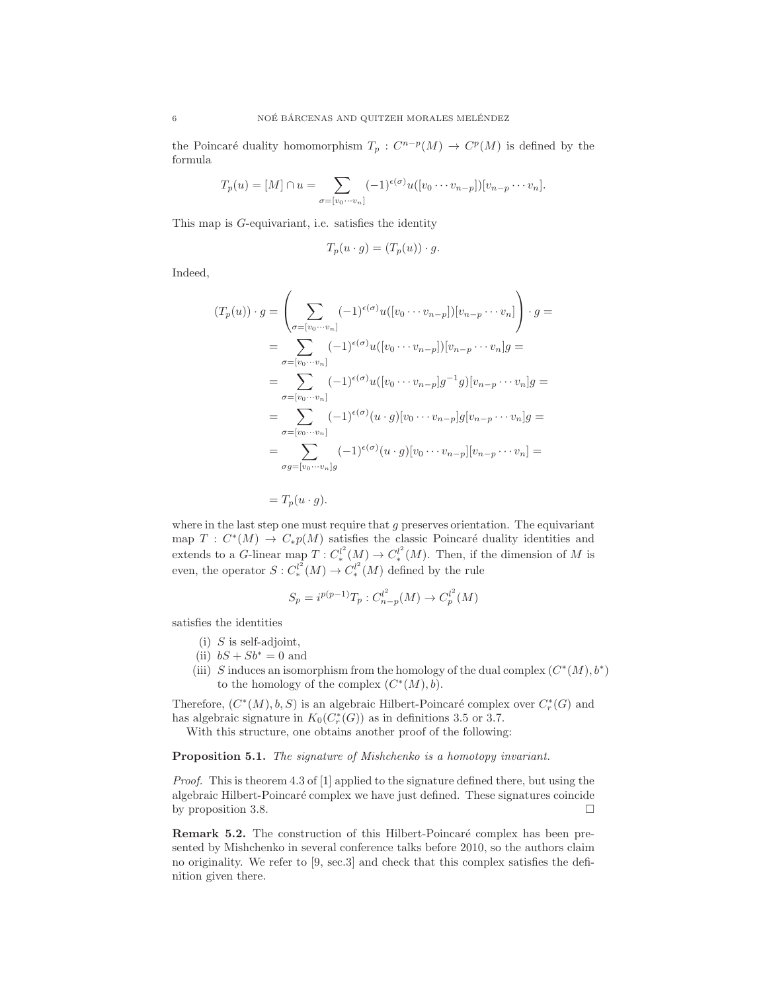the Poincaré duality homomorphism  $T_p : C^{n-p}(M) \to C^p(M)$  is defined by the formula

$$
T_p(u) = [M] \cap u = \sum_{\sigma = [v_0 \cdots v_n]} (-1)^{\epsilon(\sigma)} u([v_0 \cdots v_{n-p}])[v_{n-p} \cdots v_n].
$$

This map is G-equivariant, i.e. satisfies the identity

$$
T_p(u \cdot g) = (T_p(u)) \cdot g.
$$

Indeed,

$$
(T_p(u)) \cdot g = \left(\sum_{\sigma=[v_0\cdots v_n]} (-1)^{\epsilon(\sigma)} u([v_0\cdots v_{n-p}])[v_{n-p}\cdots v_n]\right) \cdot g =
$$
  
\n
$$
= \sum_{\sigma=[v_0\cdots v_n]} (-1)^{\epsilon(\sigma)} u([v_0\cdots v_{n-p}])[v_{n-p}\cdots v_n]g =
$$
  
\n
$$
= \sum_{\sigma=[v_0\cdots v_n]} (-1)^{\epsilon(\sigma)} u([v_0\cdots v_{n-p}]g^{-1}g)[v_{n-p}\cdots v_n]g =
$$
  
\n
$$
= \sum_{\sigma=[v_0\cdots v_n]} (-1)^{\epsilon(\sigma)} (u \cdot g)[v_0\cdots v_{n-p}]g[v_{n-p}\cdots v_n]g =
$$
  
\n
$$
= \sum_{\sigma g=[v_0\cdots v_n]g} (-1)^{\epsilon(\sigma)} (u \cdot g)[v_0\cdots v_{n-p}][v_{n-p}\cdots v_n] =
$$

 $=T_p(u \cdot g).$ 

where in the last step one must require that  $g$  preserves orientation. The equivariant map  $T : C^*(M) \to C_*p(M)$  satisfies the classic Poincaré duality identities and extends to a G-linear map  $T: C_*^{l^2}(M) \to C_*^{l^2}(M)$ . Then, if the dimension of M is even, the operator  $S: C_*^{l^2}(M) \to C_*^{l^2}(M)$  defined by the rule

$$
S_p = i^{p(p-1)}T_p : C_{n-p}^{l^2}(M) \to C_p^{l^2}(M)
$$

satisfies the identities

- $(i)$  S is self-adjoint,
- (ii)  $bS + Sb^* = 0$  and
- (iii) S induces an isomorphism from the homology of the dual complex  $(C^*(M), b^*)$ to the homology of the complex  $(C^*(M), b)$ .

Therefore,  $(C^*(M), b, S)$  is an algebraic Hilbert-Poincaré complex over  $C_r^*(G)$  and has algebraic signature in  $K_0(C^*_r(G))$  as in definitions 3.5 or 3.7.

With this structure, one obtains another proof of the following:

#### Proposition 5.1. The signature of Mishchenko is a homotopy invariant.

Proof. This is theorem 4.3 of [1] applied to the signature defined there, but using the algebraic Hilbert-Poincaré complex we have just defined. These signatures coincide by proposition 3.8.  $\Box$ 

Remark 5.2. The construction of this Hilbert-Poincaré complex has been presented by Mishchenko in several conference talks before 2010, so the authors claim no originality. We refer to [9, sec.3] and check that this complex satisfies the definition given there.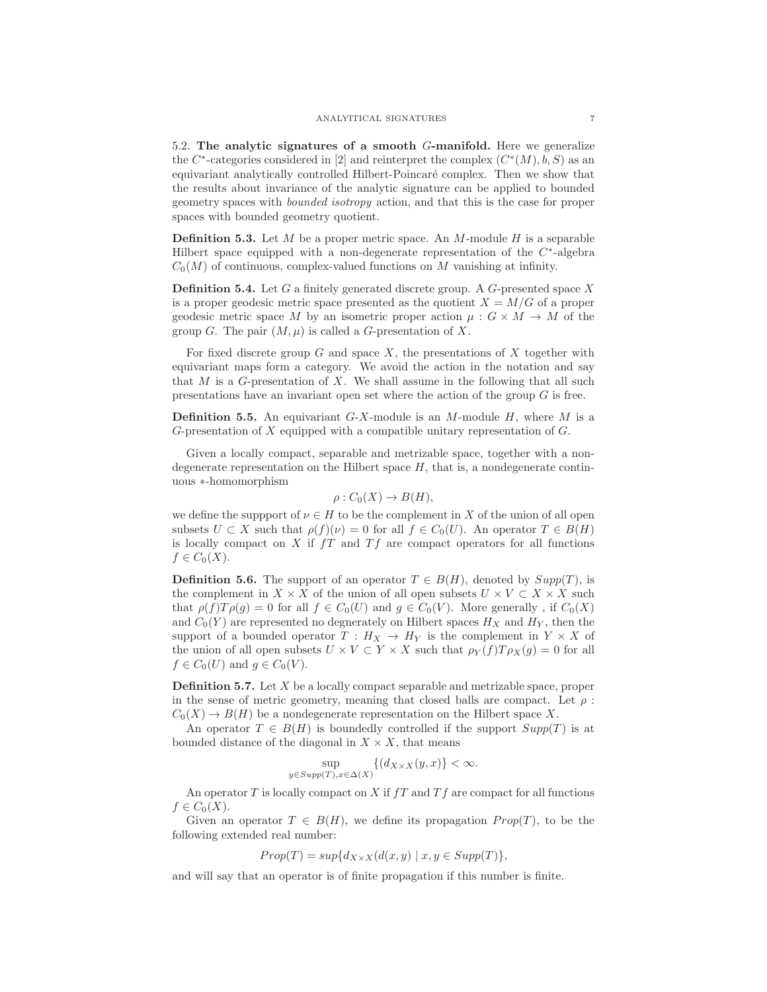5.2. The analytic signatures of a smooth G-manifold. Here we generalize the C<sup>∗</sup>-categories considered in [2] and reinterpret the complex  $(C<sup>*</sup>(M), b, S)$  as an equivariant analytically controlled Hilbert-Poincar´e complex. Then we show that the results about invariance of the analytic signature can be applied to bounded geometry spaces with bounded isotropy action, and that this is the case for proper spaces with bounded geometry quotient.

**Definition 5.3.** Let M be a proper metric space. An M-module H is a separable Hilbert space equipped with a non-degenerate representation of the  $C<sup>*</sup>$ -algebra  $C_0(M)$  of continuous, complex-valued functions on M vanishing at infinity.

**Definition 5.4.** Let  $G$  a finitely generated discrete group. A  $G$ -presented space  $X$ is a proper geodesic metric space presented as the quotient  $X = M/G$  of a proper geodesic metric space M by an isometric proper action  $\mu: G \times M \to M$  of the group G. The pair  $(M, \mu)$  is called a G-presentation of X.

For fixed discrete group  $G$  and space  $X$ , the presentations of  $X$  together with equivariant maps form a category. We avoid the action in the notation and say that  $M$  is a  $G$ -presentation of  $X$ . We shall assume in the following that all such presentations have an invariant open set where the action of the group G is free.

**Definition 5.5.** An equivariant  $G-X$ -module is an M-module H, where M is a G-presentation of X equipped with a compatible unitary representation of G.

Given a locally compact, separable and metrizable space, together with a nondegenerate representation on the Hilbert space  $H$ , that is, a nondegenerate continuous ∗-homomorphism

$$
\rho: C_0(X) \to B(H),
$$

we define the support of  $\nu \in H$  to be the complement in X of the union of all open subsets  $U \subset X$  such that  $\rho(f)(\nu) = 0$  for all  $f \in C_0(U)$ . An operator  $T \in B(H)$ is locally compact on  $X$  if  $fT$  and  $Tf$  are compact operators for all functions  $f\in C_0(X)$ .

**Definition 5.6.** The support of an operator  $T \in B(H)$ , denoted by  $Supp(T)$ , is the complement in  $X \times X$  of the union of all open subsets  $U \times V \subset X \times X$  such that  $\rho(f)T\rho(g) = 0$  for all  $f \in C_0(U)$  and  $g \in C_0(V)$ . More generally, if  $C_0(X)$ and  $C_0(Y)$  are represented no degnerately on Hilbert spaces  $H_X$  and  $H_Y$ , then the support of a bounded operator  $T : H_X \to H_Y$  is the complement in  $Y \times X$  of the union of all open subsets  $U \times V \subset Y \times X$  such that  $\rho_Y(f)T\rho_X(g) = 0$  for all  $f \in C_0(U)$  and  $q \in C_0(V)$ .

**Definition 5.7.** Let  $X$  be a locally compact separable and metrizable space, proper in the sense of metric geometry, meaning that closed balls are compact. Let  $\rho$ :  $C_0(X) \to B(H)$  be a nondegenerate representation on the Hilbert space X.

An operator  $T \in B(H)$  is boundedly controlled if the support  $Supp(T)$  is at bounded distance of the diagonal in  $X \times X$ , that means

$$
\sup_{y\in Supp(T),x\in\Delta(X)}\{(d_{X\times X}(y,x)\}<\infty.
$$

An operator  $T$  is locally compact on  $X$  if  $fT$  and  $Tf$  are compact for all functions  $f \in C_0(X)$ .

Given an operator  $T \in B(H)$ , we define its propagation  $Prop(T)$ , to be the following extended real number:

$$
Prop(T) = sup{d_{X \times X}(d(x, y) \mid x, y \in Supp(T) },
$$

and will say that an operator is of finite propagation if this number is finite.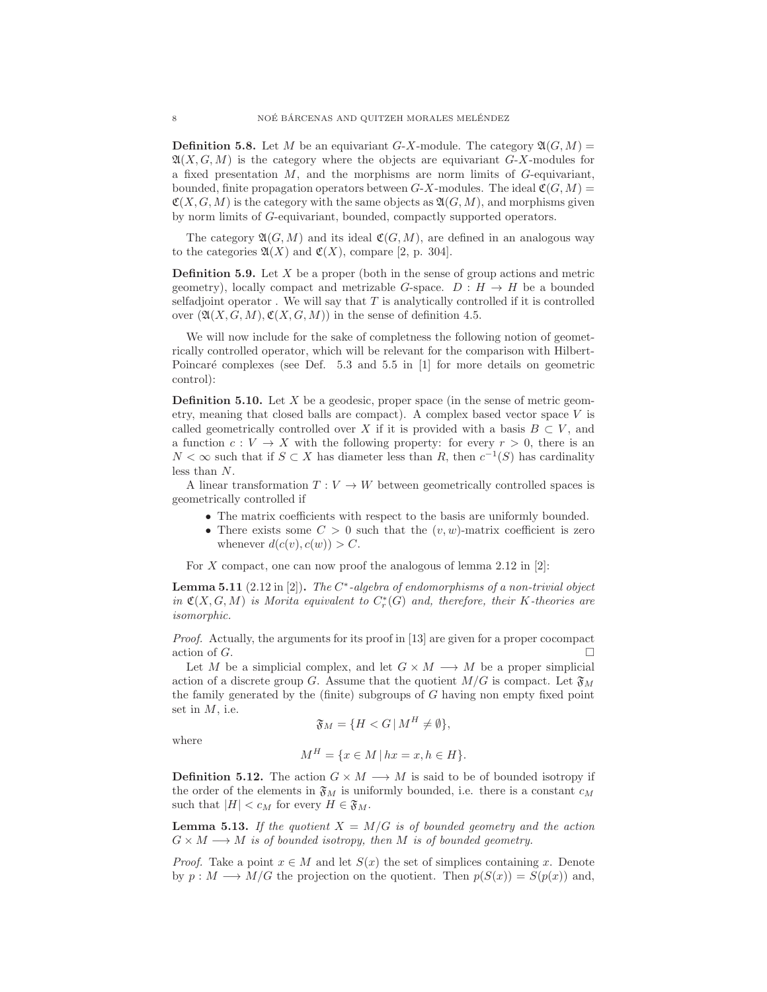**Definition 5.8.** Let M be an equivariant G-X-module. The category  $\mathfrak{A}(G, M)$  =  $\mathfrak{A}(X, G, M)$  is the category where the objects are equivariant  $G-X$ -modules for a fixed presentation  $M$ , and the morphisms are norm limits of  $G$ -equivariant, bounded, finite propagation operators between  $G-X$ -modules. The ideal  $\mathfrak{C}(G, M) =$  $\mathfrak{C}(X, G, M)$  is the category with the same objects as  $\mathfrak{A}(G, M)$ , and morphisms given by norm limits of G-equivariant, bounded, compactly supported operators.

The category  $\mathfrak{A}(G,M)$  and its ideal  $\mathfrak{C}(G,M)$ , are defined in an analogous way to the categories  $\mathfrak{A}(X)$  and  $\mathfrak{C}(X)$ , compare [2, p. 304].

**Definition 5.9.** Let  $X$  be a proper (both in the sense of group actions and metric geometry), locally compact and metrizable G-space.  $D : H \to H$  be a bounded selfadjoint operator. We will say that  $T$  is analytically controlled if it is controlled over  $(\mathfrak{A}(X, G, M), \mathfrak{C}(X, G, M))$  in the sense of definition 4.5.

We will now include for the sake of completness the following notion of geometrically controlled operator, which will be relevant for the comparison with Hilbert-Poincaré complexes (see Def.  $5.3$  and  $5.5$  in [1] for more details on geometric control):

**Definition 5.10.** Let  $X$  be a geodesic, proper space (in the sense of metric geometry, meaning that closed balls are compact). A complex based vector space  $V$  is called geometrically controlled over X if it is provided with a basis  $B \subset V$ , and a function  $c: V \to X$  with the following property: for every  $r > 0$ , there is an  $N < \infty$  such that if  $S \subset X$  has diameter less than R, then  $c^{-1}(S)$  has cardinality less than N.

A linear transformation  $T: V \to W$  between geometrically controlled spaces is geometrically controlled if

- The matrix coefficients with respect to the basis are uniformly bounded.
- There exists some  $C > 0$  such that the  $(v, w)$ -matrix coefficient is zero whenever  $d(c(v), c(w)) > C$ .

For X compact, one can now proof the analogous of lemma  $2.12$  in [2]:

**Lemma 5.11** (2.12 in [2]). The  $C^*$ -algebra of endomorphisms of a non-trivial object in  $\mathfrak{C}(X, G, M)$  is Morita equivalent to  $C_r^*(G)$  and, therefore, their K-theories are isomorphic.

Proof. Actually, the arguments for its proof in [13] are given for a proper cocompact action of  $G$ .

Let M be a simplicial complex, and let  $G \times M \longrightarrow M$  be a proper simplicial action of a discrete group G. Assume that the quotient  $M/G$  is compact. Let  $\mathfrak{F}_M$ the family generated by the (finite) subgroups of G having non empty fixed point set in  $M$ , i.e.

$$
\mathfrak{F}_M = \{ H < G \, | \, M^H \neq \emptyset \},
$$

where

$$
M^H = \{ x \in M \mid hx = x, h \in H \}.
$$

**Definition 5.12.** The action  $G \times M \longrightarrow M$  is said to be of bounded isotropy if the order of the elements in  $\mathfrak{F}_M$  is uniformly bounded, i.e. there is a constant  $c_M$ such that  $|H| < c_M$  for every  $H \in \mathfrak{F}_M$ .

**Lemma 5.13.** If the quotient  $X = M/G$  is of bounded geometry and the action  $G \times M \longrightarrow M$  is of bounded isotropy, then M is of bounded geometry.

*Proof.* Take a point  $x \in M$  and let  $S(x)$  the set of simplices containing x. Denote by  $p : M \longrightarrow M/G$  the projection on the quotient. Then  $p(S(x)) = S(p(x))$  and,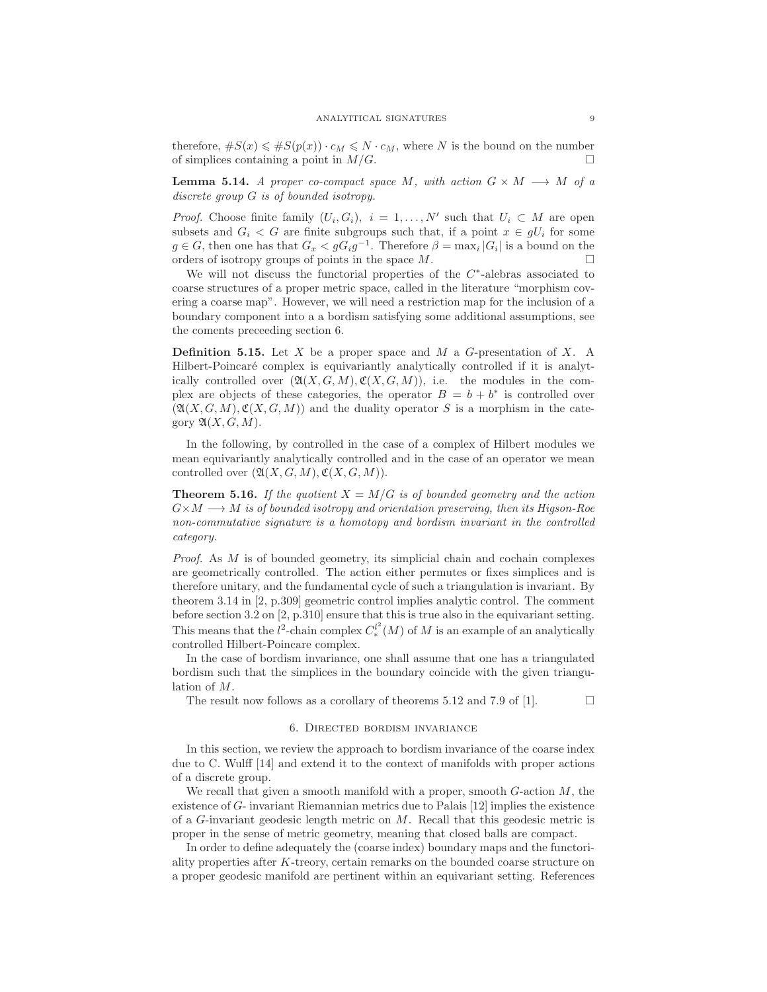therefore,  $\#S(x) \leq \#S(p(x)) \cdot c_M \leq N \cdot c_M$ , where N is the bound on the number of simplices containing a point in  $M/G$ .

**Lemma 5.14.** A proper co-compact space M, with action  $G \times M \longrightarrow M$  of a discrete group G is of bounded isotropy.

*Proof.* Choose finite family  $(U_i, G_i)$ ,  $i = 1, \ldots, N'$  such that  $U_i \subset M$  are open subsets and  $G_i < G$  are finite subgroups such that, if a point  $x \in gU_i$  for some  $g \in G$ , then one has that  $G_x < gG_i g^{-1}$ . Therefore  $\beta = \max_i |G_i|$  is a bound on the orders of isotropy groups of points in the space  $M$ .

We will not discuss the functorial properties of the  $C<sup>*</sup>$ -alebras associated to coarse structures of a proper metric space, called in the literature "morphism covering a coarse map". However, we will need a restriction map for the inclusion of a boundary component into a a bordism satisfying some additional assumptions, see the coments preceeding section 6.

**Definition 5.15.** Let  $X$  be a proper space and  $M$  a  $G$ -presentation of  $X$ . A Hilbert-Poincaré complex is equivariantly analytically controlled if it is analytically controlled over  $(\mathfrak{A}(X, G, M), \mathfrak{C}(X, G, M))$ , i.e. the modules in the complex are objects of these categories, the operator  $B = b + b^*$  is controlled over  $(\mathfrak{A}(X, G, M), \mathfrak{C}(X, G, M))$  and the duality operator S is a morphism in the category  $\mathfrak{A}(X, G, M)$ .

In the following, by controlled in the case of a complex of Hilbert modules we mean equivariantly analytically controlled and in the case of an operator we mean controlled over  $(\mathfrak{A}(X, G, M), \mathfrak{C}(X, G, M)).$ 

**Theorem 5.16.** If the quotient  $X = M/G$  is of bounded geometry and the action  $G \times M \longrightarrow M$  is of bounded isotropy and orientation preserving, then its Higson-Roe non-commutative signature is a homotopy and bordism invariant in the controlled category.

*Proof.* As  $M$  is of bounded geometry, its simplicial chain and cochain complexes are geometrically controlled. The action either permutes or fixes simplices and is therefore unitary, and the fundamental cycle of such a triangulation is invariant. By theorem 3.14 in [2, p.309] geometric control implies analytic control. The comment before section 3.2 on [2, p.310] ensure that this is true also in the equivariant setting. This means that the  $l^2$ -chain complex  $C_*^{l^2}(M)$  of M is an example of an analytically controlled Hilbert-Poincare complex.

In the case of bordism invariance, one shall assume that one has a triangulated bordism such that the simplices in the boundary coincide with the given triangulation of M.

The result now follows as a corollary of theorems 5.12 and 7.9 of [1].  $\Box$ 

#### 6. Directed bordism invariance

In this section, we review the approach to bordism invariance of the coarse index due to C. Wulff [14] and extend it to the context of manifolds with proper actions of a discrete group.

We recall that given a smooth manifold with a proper, smooth  $G$ -action  $M$ , the existence of G- invariant Riemannian metrics due to Palais [12] implies the existence of a G-invariant geodesic length metric on M. Recall that this geodesic metric is proper in the sense of metric geometry, meaning that closed balls are compact.

In order to define adequately the (coarse index) boundary maps and the functoriality properties after K-treory, certain remarks on the bounded coarse structure on a proper geodesic manifold are pertinent within an equivariant setting. References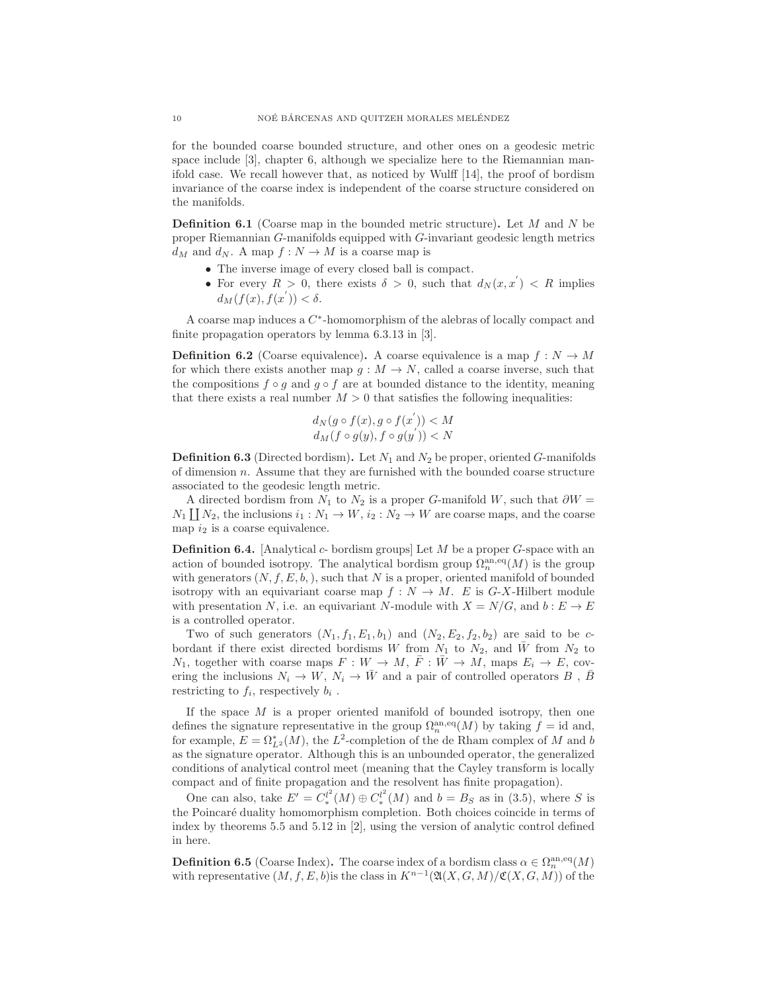for the bounded coarse bounded structure, and other ones on a geodesic metric space include [3], chapter 6, although we specialize here to the Riemannian manifold case. We recall however that, as noticed by Wulff [14], the proof of bordism invariance of the coarse index is independent of the coarse structure considered on the manifolds.

**Definition 6.1** (Coarse map in the bounded metric structure). Let  $M$  and  $N$  be proper Riemannian G-manifolds equipped with G-invariant geodesic length metrics  $d_M$  and  $d_N$ . A map  $f: N \to M$  is a coarse map is

- The inverse image of every closed ball is compact.
- For every  $R > 0$ , there exists  $\delta > 0$ , such that  $d_N(x, x') < R$  implies  $d_M(f(x), f(x')) < \delta.$

A coarse map induces a  $C<sup>*</sup>$ -homomorphism of the alebras of locally compact and finite propagation operators by lemma 6.3.13 in [3].

**Definition 6.2** (Coarse equivalence). A coarse equivalence is a map  $f : N \to M$ for which there exists another map  $g : M \to N$ , called a coarse inverse, such that the compositions  $f \circ g$  and  $g \circ f$  are at bounded distance to the identity, meaning that there exists a real number  $M > 0$  that satisfies the following inequalities:

$$
d_N(g \circ f(x), g \circ f(x')) < M
$$
  

$$
d_M(f \circ g(y), f \circ g(y')) < N
$$

**Definition 6.3** (Directed bordism). Let  $N_1$  and  $N_2$  be proper, oriented G-manifolds of dimension  $n$ . Assume that they are furnished with the bounded coarse structure associated to the geodesic length metric.

A directed bordism from  $N_1$  to  $N_2$  is a proper G-manifold W, such that  $\partial W =$  $N_1 \coprod N_2$ , the inclusions  $i_1 : N_1 \to W$ ,  $i_2 : N_2 \to W$  are coarse maps, and the coarse map  $i_2$  is a coarse equivalence.

**Definition 6.4.** [Analytical  $c$ - bordism groups] Let  $M$  be a proper  $G$ -space with an action of bounded isotropy. The analytical bordism group  $\Omega_n^{\text{an},\text{eq}}(M)$  is the group with generators  $(N, f, E, b)$ , such that N is a proper, oriented manifold of bounded isotropy with an equivariant coarse map  $f : N \to M$ . E is G-X-Hilbert module with presentation N, i.e. an equivariant N-module with  $X = N/G$ , and  $b : E \to E$ is a controlled operator.

Two of such generators  $(N_1, f_1, E_1, b_1)$  and  $(N_2, E_2, f_2, b_2)$  are said to be cbordant if there exist directed bordisms W from  $N_1$  to  $N_2$ , and  $\overline{W}$  from  $N_2$  to  $N_1$ , together with coarse maps  $F: W \to M$ ,  $\overline{F}: \overline{W} \to M$ , maps  $E_i \to E$ , covering the inclusions  $N_i \to W$ ,  $N_i \to \bar{W}$  and a pair of controlled operators B,  $\bar{B}$ restricting to  $f_i$ , respectively  $b_i$ .

If the space  $M$  is a proper oriented manifold of bounded isotropy, then one defines the signature representative in the group  $\Omega_n^{\text{an},\text{eq}}(M)$  by taking  $f = \text{id}$  and, for example,  $E = \Omega_{L^2}^*(M)$ , the  $L^2$ -completion of the de Rham complex of M and b as the signature operator. Although this is an unbounded operator, the generalized conditions of analytical control meet (meaning that the Cayley transform is locally compact and of finite propagation and the resolvent has finite propagation).

One can also, take  $E' = C_*^{l^2}(M) \oplus C_*^{l^2}(M)$  and  $b = B_S$  as in (3.5), where S is the Poincaré duality homomorphism completion. Both choices coincide in terms of index by theorems 5.5 and 5.12 in [2], using the version of analytic control defined in here.

**Definition 6.5** (Coarse Index). The coarse index of a bordism class  $\alpha \in \Omega_n^{\text{an},\text{eq}}(M)$ with representative  $(M, f, E, b)$  is the class in  $K^{n-1}(\mathfrak{A}(X, G, M)/\mathfrak{C}(X, G, M))$  of the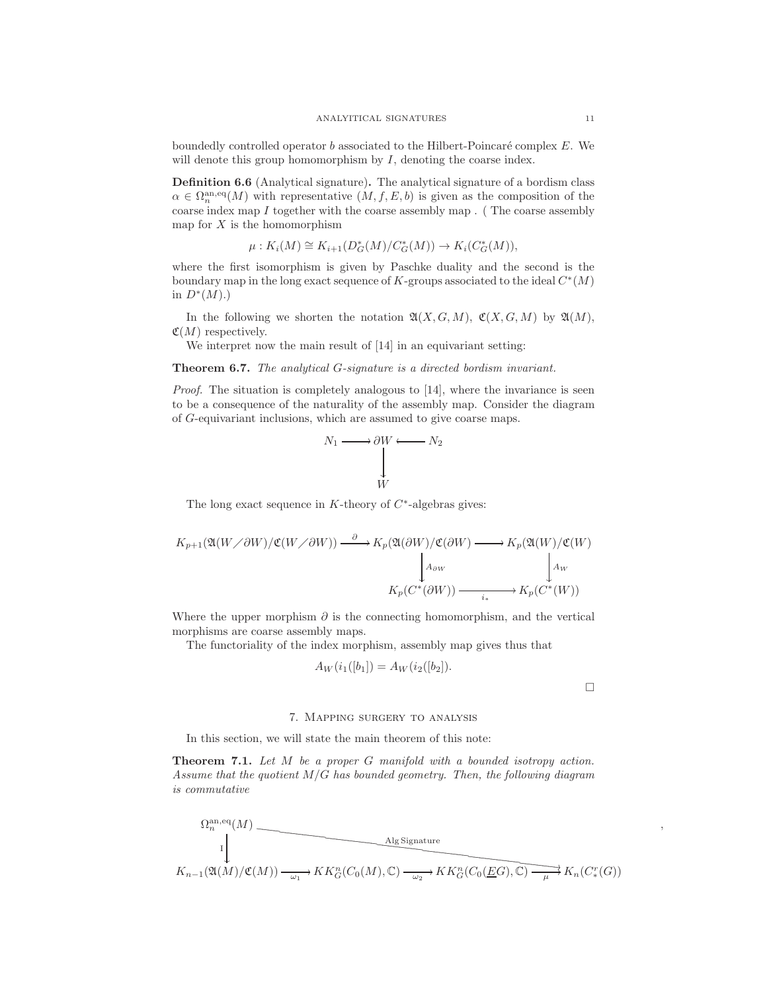boundedly controlled operator  $b$  associated to the Hilbert-Poincaré complex  $E$ . We will denote this group homomorphism by  $I$ , denoting the coarse index.

Definition 6.6 (Analytical signature). The analytical signature of a bordism class  $\alpha \in \Omega_n^{\text{an},\text{eq}}(M)$  with representative  $(M, f, E, b)$  is given as the composition of the coarse index map I together with the coarse assembly map . ( The coarse assembly map for  $X$  is the homomorphism

$$
\mu: K_i(M) \cong K_{i+1}(D^*_{G}(M)/C^*_{G}(M)) \to K_i(C^*_{G}(M)),
$$

where the first isomorphism is given by Paschke duality and the second is the boundary map in the long exact sequence of K-groups associated to the ideal  $C^*(M)$ in  $D^*(M)$ .)

In the following we shorten the notation  $\mathfrak{A}(X, G, M)$ ,  $\mathfrak{C}(X, G, M)$  by  $\mathfrak{A}(M)$ ,  $\mathfrak{C}(M)$  respectively.

We interpret now the main result of  $[14]$  in an equivariant setting:

Theorem 6.7. The analytical G-signature is a directed bordism invariant.

Proof. The situation is completely analogous to [14], where the invariance is seen to be a consequence of the naturality of the assembly map. Consider the diagram of G-equivariant inclusions, which are assumed to give coarse maps.



The long exact sequence in K-theory of  $C^*$ -algebras gives:

$$
K_{p+1}(\mathfrak{A}(W\diagup\partial W))\mathfrak{C}(W\diagup\partial W)) \xrightarrow{\partial} K_p(\mathfrak{A}(\partial W))\mathfrak{C}(\partial W) \longrightarrow K_p(\mathfrak{A}(W))\mathfrak{C}(W)
$$

$$
\downarrow_{A_{\partial W}} \qquad \qquad \downarrow_{A_{\partial W}} \qquad \qquad \downarrow_{A_{\partial W}} \qquad \qquad \downarrow_{A_{\partial W}} \qquad \qquad \downarrow_{A_{\partial W}}
$$

$$
K_p(C^*(\partial W)) \xrightarrow{\phantom{A_{\partial W}}} K_p(C^*(W))
$$

Where the upper morphism  $\partial$  is the connecting homomorphism, and the vertical morphisms are coarse assembly maps.

The functoriality of the index morphism, assembly map gives thus that

$$
A_W(i_1([b_1]) = A_W(i_2([b_2]).
$$

 $\Box$ 

,

### 7. Mapping surgery to analysis

In this section, we will state the main theorem of this note:

Theorem 7.1. Let M be a proper G manifold with a bounded isotropy action. Assume that the quotient  $M/G$  has bounded geometry. Then, the following diagram is commutative

$$
\Omega_n^{\text{an},\text{eq}}(M)
$$
\n
$$
K_{n-1}(\mathfrak{A}(M)/\mathfrak{C}(M)) \xrightarrow{\omega_1} KK_G^n(C_0(M), \mathbb{C}) \xrightarrow{\omega_2} KK_G^n(C_0(\underline{EG}), \mathbb{C}) \xrightarrow{\mu} K_n(C^r_*(G))
$$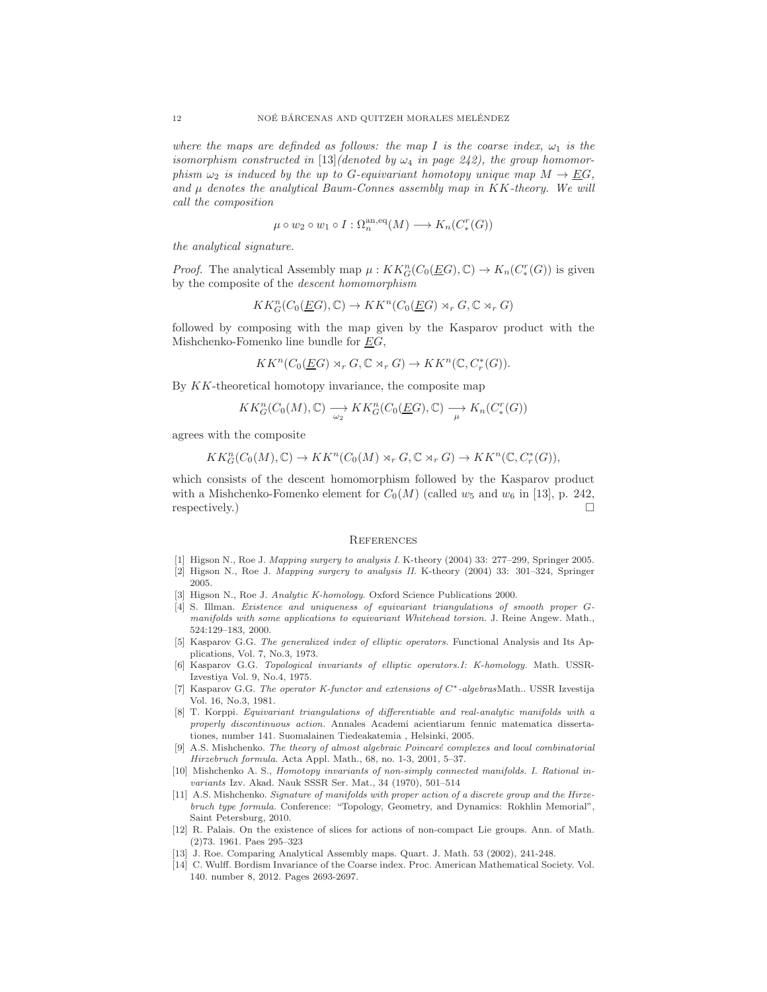where the maps are definded as follows: the map I is the coarse index,  $\omega_1$  is the isomorphism constructed in [13](denoted by  $\omega_4$  in page 242), the group homomorphism  $\omega_2$  is induced by the up to G-equivariant homotopy unique map  $M \to EG$ , and  $\mu$  denotes the analytical Baum-Connes assembly map in KK-theory. We will call the composition

$$
\mu \circ w_2 \circ w_1 \circ I : \Omega_n^{\mathrm{an},\mathrm{eq}}(M) \longrightarrow K_n(C_*^r(G))
$$

the analytical signature.

*Proof.* The analytical Assembly map  $\mu : KK_G^n(C_0(\underline{E}G), \mathbb{C}) \to K_n(C_*^r(G))$  is given by the composite of the descent homomorphism

$$
KK_G^n(C_0(\underline{E}G),\mathbb{C}) \to KK^n(C_0(\underline{E}G) \rtimes_r G, \mathbb{C} \rtimes_r G)
$$

followed by composing with the map given by the Kasparov product with the Mishchenko-Fomenko line bundle for  $EG$ ,

$$
KK^n(C_0(\underline{E}G) \rtimes_r G, \mathbb{C} \rtimes_r G) \to KK^n(\mathbb{C}, C_r^*(G)).
$$

By KK-theoretical homotopy invariance, the composite map

$$
KK_G^n(C_0(M), \mathbb{C}) \longrightarrow KK_G^n(C_0(\underline{E}G), \mathbb{C}) \longrightarrow K_n(C_*^r(G))
$$

agrees with the composite

$$
KK_G^n(C_0(M), \mathbb{C}) \to KK^n(C_0(M) \rtimes_r G, \mathbb{C} \rtimes_r G) \to KK^n(\mathbb{C}, C_r^*(G)),
$$

which consists of the descent homomorphism followed by the Kasparov product with a Mishchenko-Fomenko element for  $C_0(M)$  (called  $w_5$  and  $w_6$  in [13], p. 242, respectively.)  $\Box$ 

# **REFERENCES**

- [1] Higson N., Roe J. Mapping surgery to analysis I. K-theory (2004) 33: 277–299, Springer 2005.
- [2] Higson N., Roe J. Mapping surgery to analysis II. K-theory (2004) 33: 301–324, Springer 2005.
- [3] Higson N., Roe J. Analytic K-homology. Oxford Science Publications 2000.
- [4] S. Illman. Existence and uniqueness of equivariant triangulations of smooth proper Gmanifolds with some applications to equivariant Whitehead torsion. J. Reine Angew. Math., 524:129–183, 2000.
- [5] Kasparov G.G. The generalized index of elliptic operators. Functional Analysis and Its Applications, Vol. 7, No.3, 1973.
- [6] Kasparov G.G. Topological invariants of elliptic operators.I: K-homology. Math. USSR-Izvestiya Vol. 9, No.4, 1975.
- [7] Kasparov G.G. The operator K-functor and extensions of C∗-algebrasMath.. USSR Izvestija Vol. 16, No.3, 1981.
- [8] T. Korppi. Equivariant triangulations of differentiable and real-analytic manifolds with a properly discontinuous action. Annales Academi acientiarum fennic matematica dissertationes, number 141. Suomalainen Tiedeakatemia , Helsinki, 2005.
- [9] A.S. Mishchenko. The theory of almost algebraic Poincaré complexes and local combinatorial Hirzebruch formula. Acta Appl. Math., 68, no. 1-3, 2001, 5–37.
- [10] Mishchenko A. S., Homotopy invariants of non-simply connected manifolds. I. Rational invariants Izv. Akad. Nauk SSSR Ser. Mat., 34 (1970), 501–514
- [11] A.S. Mishchenko. Signature of manifolds with proper action of a discrete group and the Hirzebruch type formula. Conference: "Topology, Geometry, and Dynamics: Rokhlin Memorial", Saint Petersburg, 2010.
- [12] R. Palais. On the existence of slices for actions of non-compact Lie groups. Ann. of Math. (2)73. 1961. Paes 295–323
- [13] J. Roe. Comparing Analytical Assembly maps. Quart. J. Math. 53 (2002), 241-248.
- [14] C. Wulff. Bordism Invariance of the Coarse index. Proc. American Mathematical Society. Vol. 140. number 8, 2012. Pages 2693-2697.